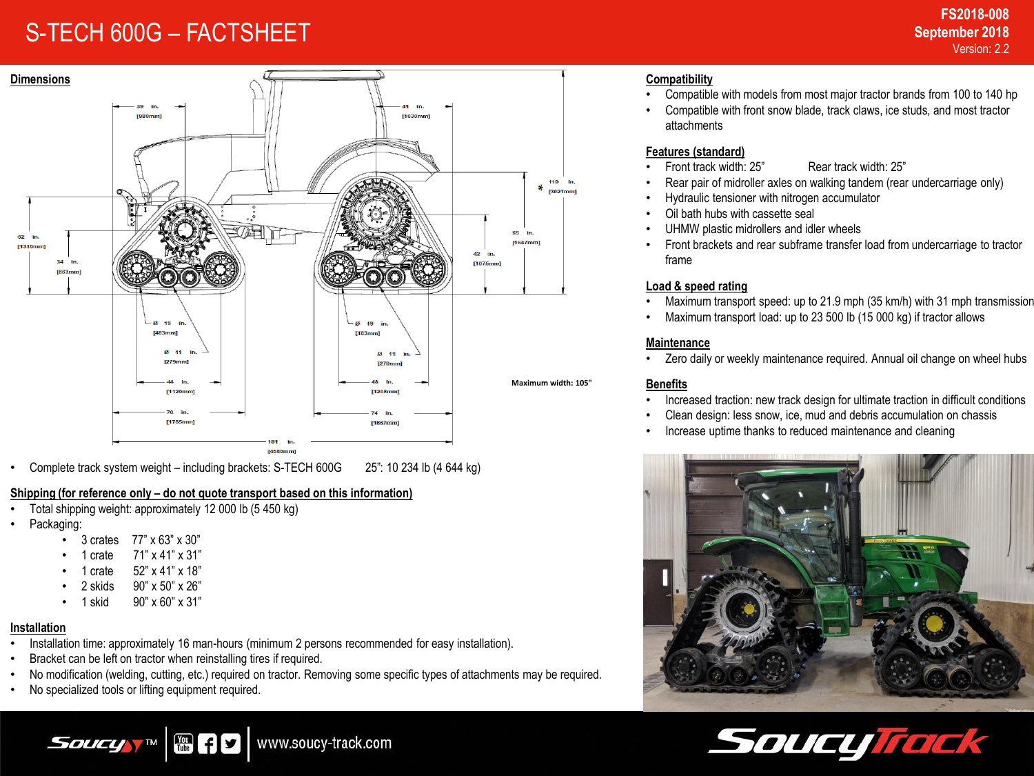# S-TECH 600G – FACTSHEET



• Complete track system weight – including brackets: S-TECH 600G 25": 10 234 lb (4 644 kg)

### **Shipping (for reference only – do not quote transport based on this information)**

- Total shipping weight: approximately 12 000 lb (5 450 kg)
- Packaging:
	- 3 crates 77" x 63" x 30"
	- 1 crate 71" x 41" x 31"
	- 1 crate 52" x 41" x 18"
	- 2 skids 90" x 50" x 26"
	- 1 skid 90" x 60" x 31"

### **Installation**

- Installation time: approximately 16 man-hours (minimum 2 persons recommended for easy installation).
- Bracket can be left on tractor when reinstalling tires if required.

體干

• No modification (welding, cutting, etc.) required on tractor. Removing some specific types of attachments may be required.

www.soucy-track.com

• No specialized tools or lifting equipment required.

*Soucy* 

- Compatible with models from most major tractor brands from 100 to 140 hp
- Compatible with front snow blade, track claws, ice studs, and most tractor attachments

# **Features (standard)**

**Compatibility** 

- Front track width: 25" Rear track width: 25"
- Rear pair of midroller axles on walking tandem (rear undercarriage only)
- Hydraulic tensioner with nitrogen accumulator
- Oil bath hubs with cassette seal
- UHMW plastic midrollers and idler wheels
- Front brackets and rear subframe transfer load from undercarriage to tractor frame

# **Load & speed rating**

- Maximum transport speed: up to 21.9 mph (35 km/h) with 31 mph transmission
- Maximum transport load: up to 23 500 lb (15 000 kg) if tractor allows

### **Maintenance**

Zero daily or weekly maintenance required. Annual oil change on wheel hubs

### **Benefits**

- Increased traction: new track design for ultimate traction in difficult conditions
- Clean design: less snow, ice, mud and debris accumulation on chassis
- Increase uptime thanks to reduced maintenance and cleaning